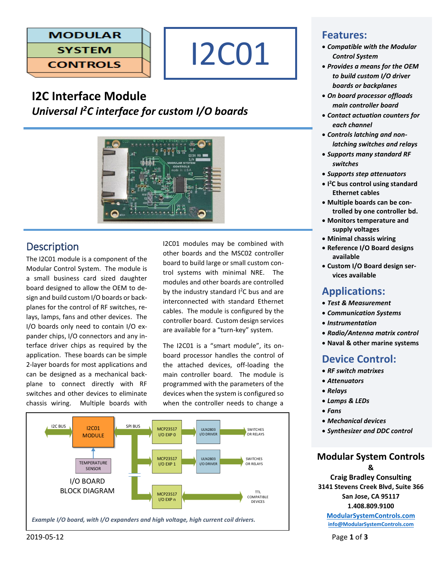



# **I2C Interface Module** *Universal I<sup>2</sup>C interface for custom I/O boards*



# **Description**

The I2C01 module is a component of the Modular Control System. The module is a small business card sized daughter board designed to allow the OEM to design and build custom I/O boards or backplanes for the control of RF switches, relays, lamps, fans and other devices. The I/O boards only need to contain I/O expander chips, I/O connectors and any interface driver chips as required by the application. These boards can be simple 2-layer boards for most applications and can be designed as a mechanical backplane to connect directly with RF switches and other devices to eliminate chassis wiring. Multiple boards with

I2C01 modules may be combined with other boards and the MSC02 controller board to build large or small custom control systems with minimal NRE. The modules and other boards are controlled by the industry standard  $I^2C$  bus and are interconnected with standard Ethernet cables. The module is configured by the controller board. Custom design services are available for a "turn-key" system.

The I2C01 is a "smart module", its onboard processor handles the control of the attached devices, off-loading the main controller board. The module is programmed with the parameters of the devices when the system is configured so when the controller needs to change a



## **Features:**

- *Compatible with the Modular Control System*
- *Provides a means for the OEM to build custom I/O driver boards or backplanes*
- *On board processor offloads main controller board*
- *Contact actuation counters for each channel*
- *Controls latching and nonlatching switches and relays*
- *Supports many standard RF switches*
- *Supports step attenuators*
- **I <sup>2</sup>C bus control using standard Ethernet cables**
- **Multiple boards can be controlled by one controller bd.**
- **Monitors temperature and supply voltages**
- **Minimal chassis wiring**
- **Reference I/O Board designs available**
- **Custom I/O Board design services available**

## **Applications:**

- *Test & Measurement*
- *Communication Systems*
- *Instrumentation*
- *Radio/Antenna matrix control*
- **Naval & other marine systems**

# **Device Control:**

- *RF switch matrixes*
- *Attenuators*
- *Relays*
- *Lamps & LEDs*
- *Fans*
- *Mechanical devices*
- *Synthesizer and DDC control*

# **Modular System Controls**

**& Craig Bradley Consulting 3141 Stevens Creek Blvd, Suite 366 San Jose, CA 95117 1.408.809.9100**

**[ModularSystemControls.com](http://modularsystemcontrols.com/) [info@ModularSystemControls.com](mailto:info@ModularSystemControls.com)**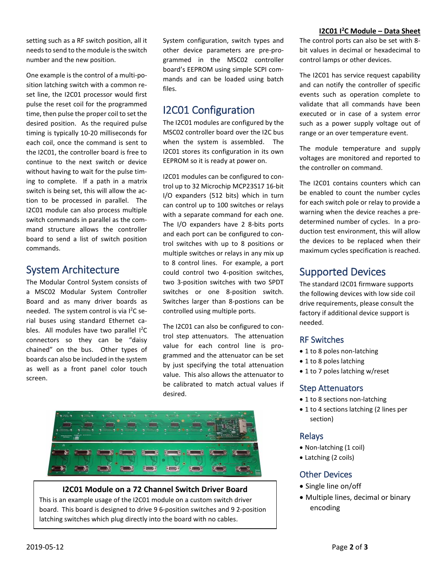setting such as a RF switch position, all it needs to send to the module is the switch number and the new position.

One example is the control of a multi-position latching switch with a common reset line, the I2C01 processor would first pulse the reset coil for the programmed time, then pulse the proper coil to set the desired position. As the required pulse timing is typically 10-20 milliseconds for each coil, once the command is sent to the I2C01, the controller board is free to continue to the next switch or device without having to wait for the pulse timing to complete. If a path in a matrix switch is being set, this will allow the action to be processed in parallel. The I2C01 module can also process multiple switch commands in parallel as the command structure allows the controller board to send a list of switch position commands.

# System Architecture

The Modular Control System consists of a MSC02 Modular System Controller Board and as many driver boards as needed. The system control is via I 2C serial buses using standard Ethernet cables. All modules have two parallel  $I^2C$ connectors so they can be "daisy chained" on the bus. Other types of boards can also be included in the system as well as a front panel color touch screen.

System configuration, switch types and other device parameters are pre-programmed in the MSC02 controller board's EEPROM using simple SCPI commands and can be loaded using batch files.

# I2C01 Configuration

The I2C01 modules are configured by the MSC02 controller board over the I2C bus when the system is assembled. The I2C01 stores its configuration in its own EEPROM so it is ready at power on.

I2C01 modules can be configured to control up to 32 Microchip MCP23S17 16-bit I/O expanders (512 bits) which in turn can control up to 100 switches or relays with a separate command for each one. The I/O expanders have 2 8-bits ports and each port can be configured to control switches with up to 8 positions or multiple switches or relays in any mix up to 8 control lines. For example, a port could control two 4-position switches, two 3-position switches with two SPDT switches or one 8-position switch. Switches larger than 8-postions can be controlled using multiple ports.

The I2C01 can also be configured to control step attenuators. The attenuation value for each control line is programmed and the attenuator can be set by just specifying the total attenuation value. This also allows the attenuator to be calibrated to match actual values if desired.



#### **I2C01 Module on a 72 Channel Switch Driver Board**

This is an example usage of the I2C01 module on a custom switch driver board. This board is designed to drive 9 6-position switches and 9 2-position latching switches which plug directly into the board with no cables.

#### **I2C01 I<sup>2</sup>C Module – Data Sheet**

The control ports can also be set with 8 bit values in decimal or hexadecimal to control lamps or other devices.

The I2C01 has service request capability and can notify the controller of specific events such as operation complete to validate that all commands have been executed or in case of a system error such as a power supply voltage out of range or an over temperature event.

The module temperature and supply voltages are monitored and reported to the controller on command.

The I2C01 contains counters which can be enabled to count the number cycles for each switch pole or relay to provide a warning when the device reaches a predetermined number of cycles. In a production test environment, this will allow the devices to be replaced when their maximum cycles specification is reached.

# Supported Devices

The standard I2C01 firmware supports the following devices with low side coil drive requirements, please consult the factory if additional device support is needed.

#### RF Switches

- 1 to 8 poles non-latching
- 1 to 8 poles latching
- 1 to 7 poles latching w/reset

#### Step Attenuators

- 1 to 8 sections non-latching
- 1 to 4 sections latching (2 lines per section)

#### Relays

- Non-latching (1 coil)
- Latching (2 coils)

## Other Devices

- Single line on/off
- Multiple lines, decimal or binary encoding